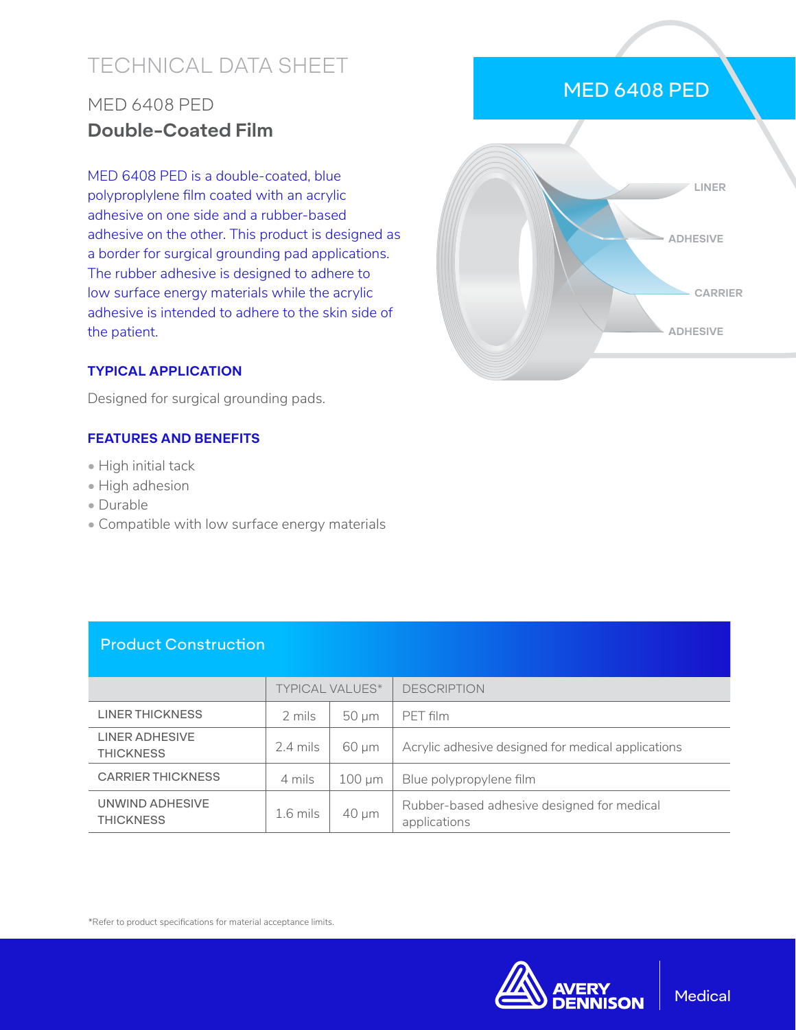# TECHNICAL DATA SHEET

## MED 6408 PED **Double-Coated Film**

MED 6408 PED is a double-coated, blue polyproplylene film coated with an acrylic adhesive on one side and a rubber-based adhesive on the other. This product is designed as a border for surgical grounding pad applications. The rubber adhesive is designed to adhere to low surface energy materials while the acrylic adhesive is intended to adhere to the skin side of the patient.

#### **TYPICAL APPLICATION**

Designed for surgical grounding pads.

#### **FEATURES AND BENEFITS**

- High initial tack
- High adhesion
- Durable
- Compatible with low surface energy materials

#### Product Construction

|                                     | <b>TYPICAL VALUES*</b> |             | <b>DESCRIPTION</b>                                         |
|-------------------------------------|------------------------|-------------|------------------------------------------------------------|
| <b>LINER THICKNESS</b>              | 2 mils                 | $50 \mu m$  | PET film                                                   |
| LINER ADHESIVE<br><b>THICKNESS</b>  | $2.4$ mils             | 60 µm       | Acrylic adhesive designed for medical applications         |
| <b>CARRIER THICKNESS</b>            | 4 mils                 | $100 \mu m$ | Blue polypropylene film                                    |
| UNWIND ADHESIVE<br><b>THICKNESS</b> | $1.6$ mils             | $40 \mu m$  | Rubber-based adhesive designed for medical<br>applications |

\*Refer to product specifications for material acceptance limits.



### MED 6408 PED